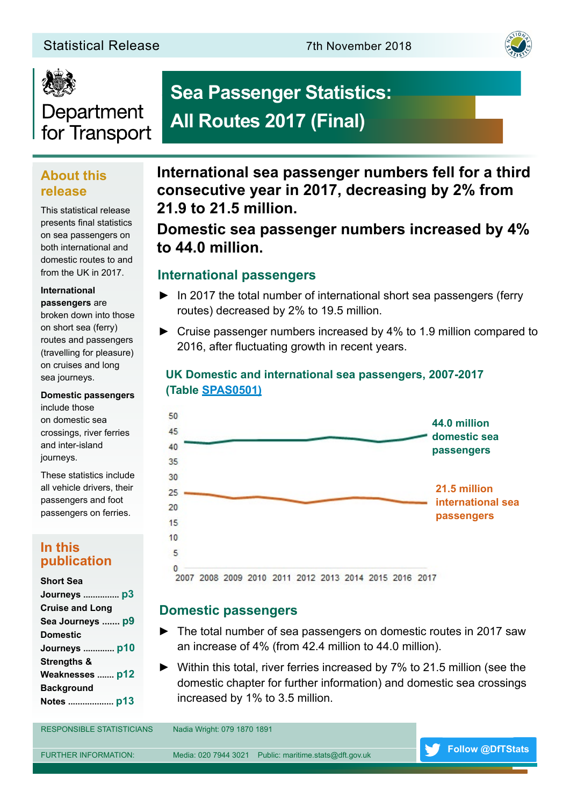#### Statistical Release 7th November 2018





# Department for Transport

# **Sea Passenger Statistics: All Routes 2017 (Final)**

### **About this release**

This statistical release presents final statistics on sea passengers on both international and domestic routes to and from the UK in 2017.

#### **International passengers** are

broken down into those on short sea (ferry) routes and passengers (travelling for pleasure) on cruises and long sea journeys.

#### **Domestic passengers**

include those on domestic sea crossings, river ferries and inter-island journeys.

These statistics include all vehicle drivers, their passengers and foot passengers on ferries.

#### **In this publication**

#### **Short Sea**

### **International sea passenger numbers fell for a third consecutive year in 2017, decreasing by 2% from 21.9 to 21.5 million.**

### **Domestic sea passenger numbers increased by 4% to 44.0 million.**

#### **International passengers**

- ► In 2017 the total number of international short sea passengers (ferry routes) decreased by 2% to 19.5 million.
- ► Cruise passenger numbers increased by 4% to 1.9 million compared to 2016, after fluctuating growth in recent years.

#### **UK Domestic and international sea passengers, 2007-2017 (Table [SPAS0501\)](https://www.gov.uk/government/statistical-data-sets/sea-passenger-statistics-spas)**



2007 2008 2009 2010 2011 2012 2013 2014 2015 2016 2017

#### **Domestic passengers**

- ► The total number of sea passengers on domestic routes in 2017 saw an increase of 4% (from 42.4 million to 44.0 million).
- ► Within this total, river ferries increased by 7% to 21.5 million (see the domestic chapter for further information) and domestic sea crossings increased by 1% to 3.5 million.

RESPONSIBLE STATISTICIANS Nadia Wright: 079 1870 1891 FURTHER INFORMATION: Media: 020 7944 3021 Public: maritime.stats@dft.gov.uk **[Follow @DfTStats](https://twitter.com/dftstats?lang=en)**

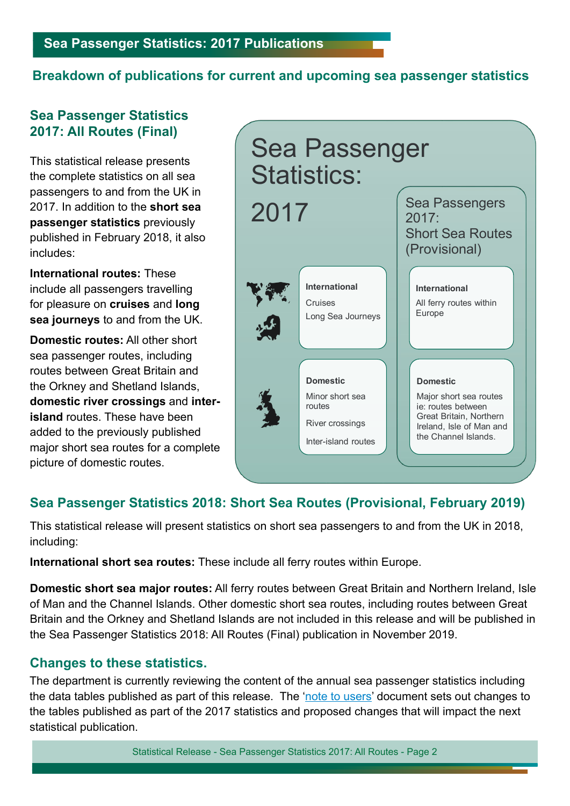### **Breakdown of publications for current and upcoming sea passenger statistics**

### **Sea Passenger Statistics 2017: All Routes (Final)**

This statistical release presents the complete statistics on all sea passengers to and from the UK in 2017. In addition to the **short sea passenger statistics** previously published in February 2018, it also includes:

**International routes:** These include all passengers travelling for pleasure on **cruises** and **long sea journeys** to and from the UK.

**Domestic routes:** All other short sea passenger routes, including routes between Great Britain and the Orkney and Shetland Islands, **domestic river crossings** and **interisland** routes. These have been added to the previously published major short sea routes for a complete picture of domestic routes.



### **Sea Passenger Statistics 2018: Short Sea Routes (Provisional, February 2019)**

This statistical release will present statistics on short sea passengers to and from the UK in 2018, including:

**International short sea routes:** These include all ferry routes within Europe.

**Domestic short sea major routes:** All ferry routes between Great Britain and Northern Ireland, Isle of Man and the Channel Islands. Other domestic short sea routes, including routes between Great Britain and the Orkney and Shetland Islands are not included in this release and will be published in the Sea Passenger Statistics 2018: All Routes (Final) publication in November 2019.

### **Changes to these statistics.**

The department is currently reviewing the content of the annual sea passenger statistics including the data tables published as part of this release. The '[note to users](https://www.gov.uk/government/statistics/announcements/final-sea-passenger-statistics-2017)' document sets out changes to the tables published as part of the 2017 statistics and proposed changes that will impact the next statistical publication.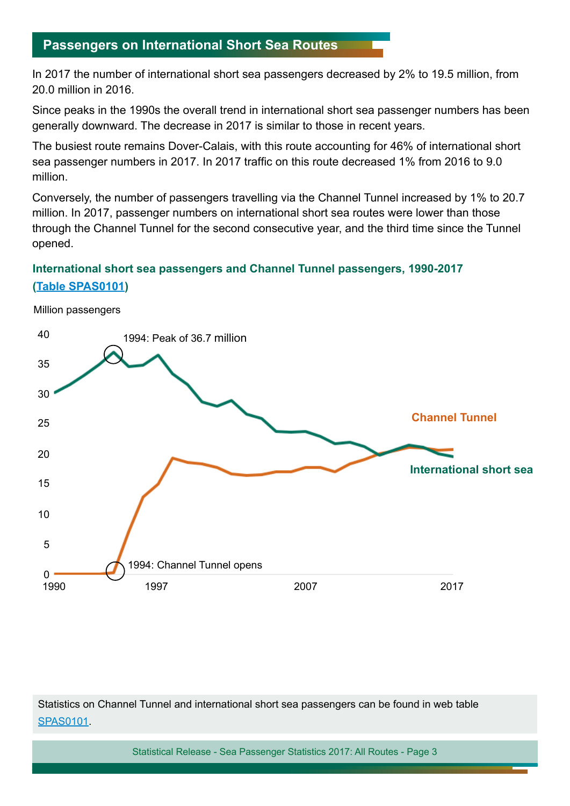### **Passengers on International Short Sea Routes**

In 2017 the number of international short sea passengers decreased by 2% to 19.5 million, from 20.0 million in 2016.

Since peaks in the 1990s the overall trend in international short sea passenger numbers has been generally downward. The decrease in 2017 is similar to those in recent years.

The busiest route remains Dover-Calais, with this route accounting for 46% of international short sea passenger numbers in 2017. In 2017 traffic on this route decreased 1% from 2016 to 9.0 million.

Conversely, the number of passengers travelling via the Channel Tunnel increased by 1% to 20.7 million. In 2017, passenger numbers on international short sea routes were lower than those through the Channel Tunnel for the second consecutive year, and the third time since the Tunnel opened.

#### **International short sea passengers and Channel Tunnel passengers, 1990-2017 ([Table SPAS0101\)](https://www.gov.uk/government/uploads/system/uploads/attachment_data/file/661004/spas0301.ods)**

**International short sea Channel Tunnel** 1994: Channel Tunnel opens 1994: Peak of 36.7 million 40 35 30 25 20 15 10 5  $0 - 1990$ 1990 1997 2007 2017

Statistics on Channel Tunnel and international short sea passengers can be found in web table [SPAS0101.](https://www.gov.uk/government/statistical-data-sets/spas03-uk-international-short-sea-passengers)

Statistical Release - Sea Passenger Statistics 2017: All Routes - Page 3

#### Million passengers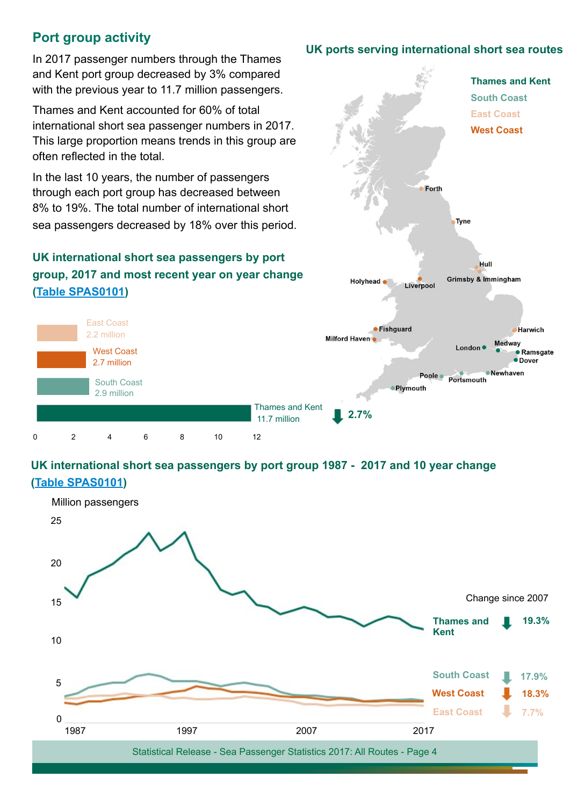### **Port group activity**

In 2017 passenger numbers through the Thames and Kent port group decreased by 3% compared with the previous year to 11.7 million passengers.

Thames and Kent accounted for 60% of total international short sea passenger numbers in 2017. This large proportion means trends in this group are often reflected in the total.

In the last 10 years, the number of passengers through each port group has decreased between 8% to 19%. The total number of international short sea passengers decreased by 18% over this period .

### **UK international short sea passengers by port group, 2017 and most recent year on year chang e [\(Table SPAS0101](https://www.gov.uk/government/uploads/system/uploads/attachment_data/file/660996/spas0101.ods))**



#### **UK international short sea passengers by port group 1987 - 2017 and 10 year change [\(Table SPAS0101\)](https://www.gov.uk/government/uploads/system/uploads/attachment_data/file/660996/spas0101.ods)**



#### **UK ports serving international short sea routes**

Forth

Liverpool

Holyhead

Tyne

Hull **Grimsby & Immingham** 

**Thames and Kent**

**South Coast East Coast West Coast**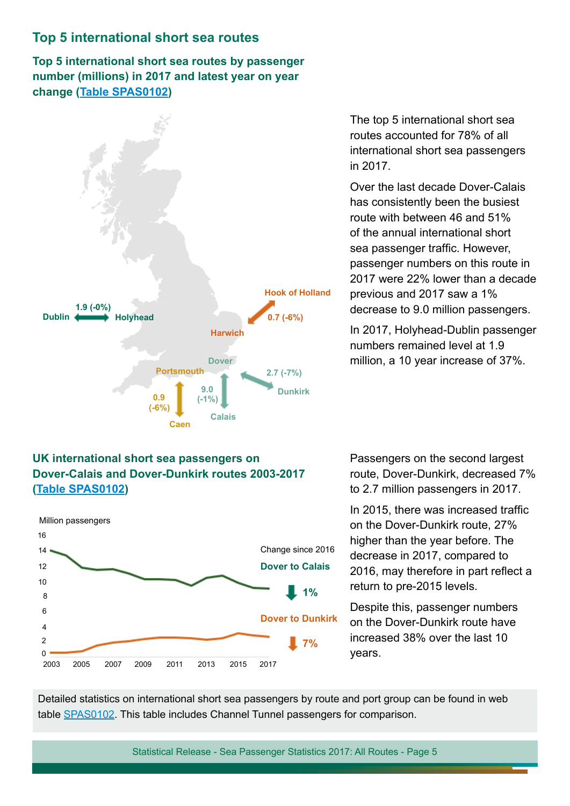#### **Top 5 international short sea routes**

**Top 5 international short sea routes by passenger number (millions) in 2017 and latest year on year change [\(Table SPAS0102\)](https://www.gov.uk/government/uploads/system/uploads/attachment_data/file/660997/spas0102.ods)**



The top 5 international short sea routes accounted for 78% of all international short sea passengers in 2017.

Over the last decade Dover-Calais has consistently been the busiest route with between 46 and 51% of the annual international short sea passenger traffic. However, passenger numbers on this route in 2017 were 22% lower than a decade previous and 2017 saw a 1% decrease to 9.0 million passengers.

In 2017, Holyhead-Dublin passenger numbers remained level at 1.9 million, a 10 year increase of 37%.

#### **UK international short sea passengers on Dover-Calais and Dover-Dunkirk routes 2003-2017 ([Table SPAS0102](https://www.gov.uk/government/uploads/system/uploads/attachment_data/file/660997/spas0102.ods))**



Passengers on the second largest route, Dover-Dunkirk, decreased 7% to 2.7 million passengers in 2017.

In 2015, there was increased traffic on the Dover-Dunkirk route, 27% higher than the year before. The decrease in 2017, compared to 2016, may therefore in part reflect a return to pre-2015 levels.

Despite this, passenger numbers on the Dover-Dunkirk route have increased 38% over the last 10 years.

Detailed statistics on international short sea passengers by route and port group can be found in web table [SPAS0102.](https://www.gov.uk/government/statistical-data-sets/spas01-uk-international-sea-passengers) This table includes Channel Tunnel passengers for comparison.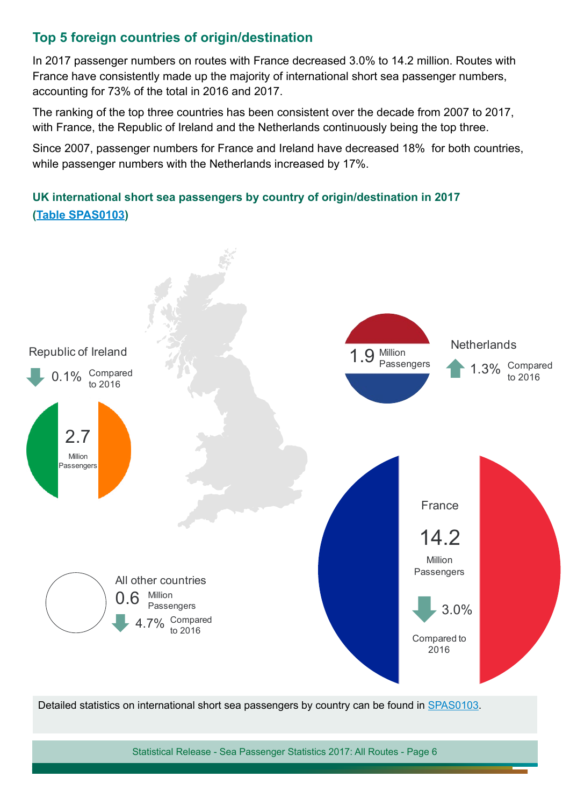### **Top 5 foreign countries of origin/destination**

In 2017 passenger numbers on routes with France decreased 3.0% to 14.2 million. Routes with France have consistently made up the majority of international short sea passenger numbers, accounting for 73% of the total in 2016 and 2017.

The ranking of the top three countries has been consistent over the decade from 2007 to 2017, with France, the Republic of Ireland and the Netherlands continuously being the top three.

Since 2007, passenger numbers for France and Ireland have decreased 18% for both countries, while passenger numbers with the Netherlands increased by 17%.

### **UK international short sea passengers by country of origin/destination in 2017 [\(Table SPAS0103](https://www.gov.uk/government/uploads/system/uploads/attachment_data/file/660998/spas0103.ods))**



Detailed statistics on international short sea passengers by country can be found in [SPAS0103.](https://www.gov.uk/government/statistical-data-sets/spas01-uk-international-sea-passengers)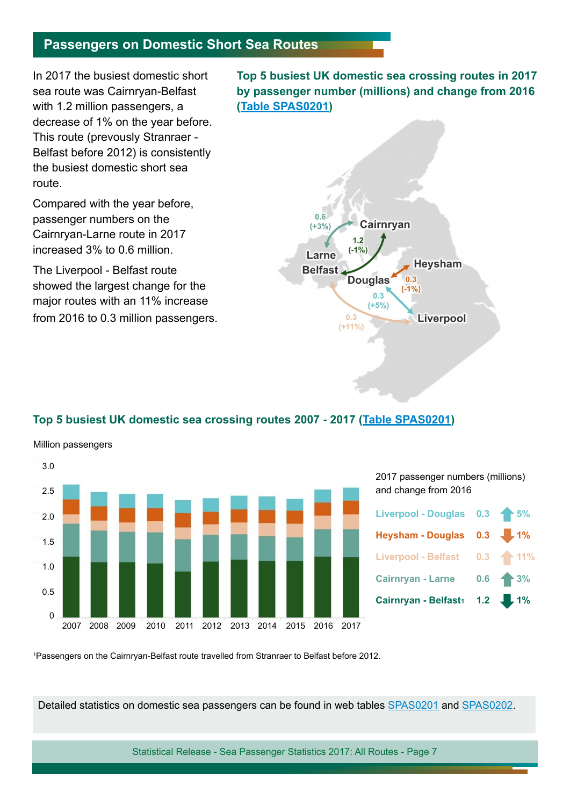#### **Passengers on Domestic Short Sea Routes**

In 2017 the busiest domestic short sea route was Cairnryan-Belfast with 1.2 million passengers, a decrease of 1% on the year before. This route (prevously Stranraer - Belfast before 2012) is consistently the busiest domestic short sea route.

Compared with the year before, passenger numbers on the Cairnryan-Larne route in 2017 increased 3% to 0.6 million.

The Liverpool - Belfast route showed the largest change for the major routes with an 11% increase from 2016 to 0.3 million passengers. **Top 5 busiest UK domestic sea crossing routes in 2017 by passenger number (millions) and change from 2016 [\(Table SPAS0201\)](https://www.gov.uk/government/uploads/system/uploads/attachment_data/file/661337/spas0201.ods)**



#### **Top 5 busiest UK domestic sea crossing routes 2007 - 2017 [\(Table SPAS0201](https://www.gov.uk/government/uploads/system/uploads/attachment_data/file/661337/spas0201.ods))**

Million passengers



2017 passenger numbers (millions) and change from 2016



1 Passengers on the Cairnryan-Belfast route travelled from Stranraer to Belfast before 2012.

Detailed statistics on domestic sea passengers can be found in web tables [SPAS0201](https://www.gov.uk/government/statistical-data-sets/spas02-uk-domestic-sea-passengers) and [SPAS0202.](https://www.gov.uk/government/statistical-data-sets/spas02-uk-domestic-sea-passengers)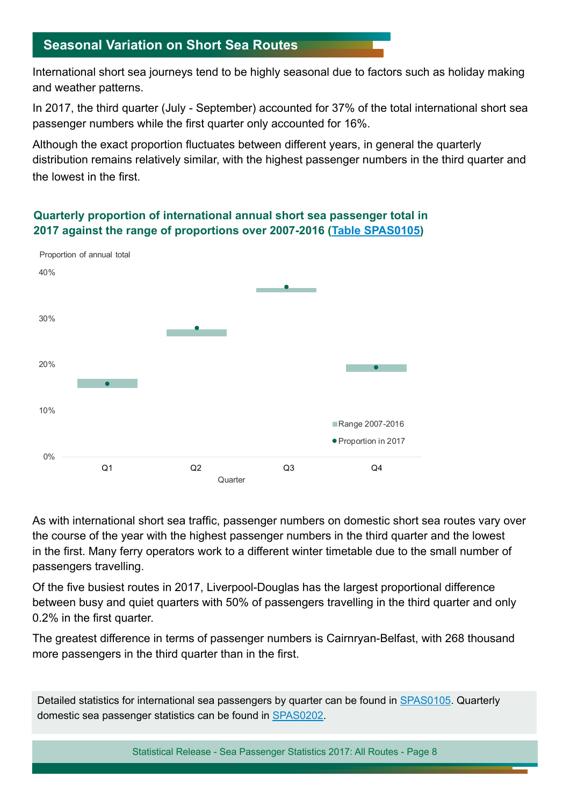### **Seasonal Variation on Short Sea Routes**

International short sea journeys tend to be highly seasonal due to factors such as holiday making and weather patterns.

In 2017, the third quarter (July - September) accounted for 37% of the total international short sea passenger numbers while the first quarter only accounted for 16%.

Although the exact proportion fluctuates between different years, in general the quarterly distribution remains relatively similar, with the highest passenger numbers in the third quarter and the lowest in the first.



#### **Quarterly proportion of international annual short sea passenger total in 2017 against the range of proportions over 2007-2016 [\(Table SPAS0105\)](https://www.gov.uk/government/uploads/system/uploads/attachment_data/file/660999/spas0105.ods)**

As with international short sea traffic, passenger numbers on domestic short sea routes vary over the course of the year with the highest passenger numbers in the third quarter and the lowest in the first. Many ferry operators work to a different winter timetable due to the small number of passengers travelling.

Of the five busiest routes in 2017, Liverpool-Douglas has the largest proportional difference between busy and quiet quarters with 50% of passengers travelling in the third quarter and only 0.2% in the first quarter.

The greatest difference in terms of passenger numbers is Cairnryan-Belfast, with 268 thousand more passengers in the third quarter than in the first.

Detailed statistics for international sea passengers by quarter can be found in [SPAS0105](https://www.gov.uk/government/statistical-data-sets/spas01-uk-international-sea-passengers#table-spas0105). Quarterly domestic sea passenger statistics can be found in [SPAS0202.](https://www.gov.uk/government/statistical-data-sets/spas02-uk-domestic-sea-passengers#table-spas0202)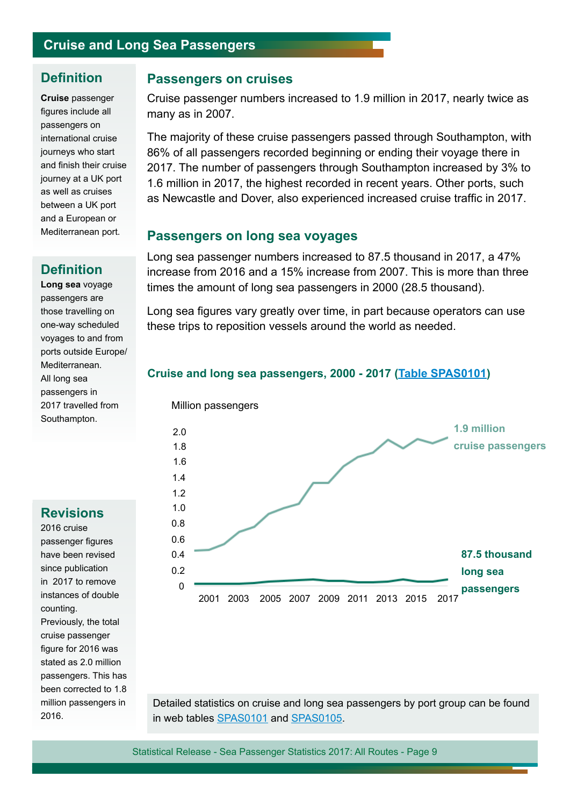### **Cruise and Long Sea Passengers**

#### **Definition**

**Cruise** passenger figures include all passengers on international cruise journeys who start and finish their cruise journey at a UK port as well as cruises between a UK port and a European or Mediterranean port.

#### **Definition**

**Long sea** voyage passengers are those travelling on one-way scheduled voyages to and from ports outside Europe/ Mediterranean. All long sea passengers in 2017 travelled from Southampton.

#### **Revisions**

2016 cruise passenger figures have been revised since publication in 2017 to remove instances of double counting. Previously, the total cruise passenger figure for 2016 was stated as 2.0 million passengers. This has been corrected to 1.8 million passengers in 2016.

#### **Passengers on cruises**

Cruise passenger numbers increased to 1.9 million in 2017, nearly twice as many as in 2007.

The majority of these cruise passengers passed through Southampton, with 86% of all passengers recorded beginning or ending their voyage there in 2017. The number of passengers through Southampton increased by 3% to 1.6 million in 2017, the highest recorded in recent years. Other ports, such as Newcastle and Dover, also experienced increased cruise traffic in 2017.

#### **Passengers on long sea voyages**

Long sea passenger numbers increased to 87.5 thousand in 2017, a 47% increase from 2016 and a 15% increase from 2007. This is more than three times the amount of long sea passengers in 2000 (28.5 thousand).

Long sea figures vary greatly over time, in part because operators can use these trips to reposition vessels around the world as needed.

#### **Cruise and long sea passengers, 2000 - 2017 [\(Table SPAS0101](https://www.gov.uk/government/statistical-data-sets/sea-passenger-statistics-spas))**



Detailed statistics on cruise and long sea passengers by port group can be found in web tables [SPAS0101](https://www.gov.uk/government/statistical-data-sets/sea-passenger-statistics-spas) and [SPAS0105](https://www.gov.uk/government/statistical-data-sets/sea-passenger-statistics-spas).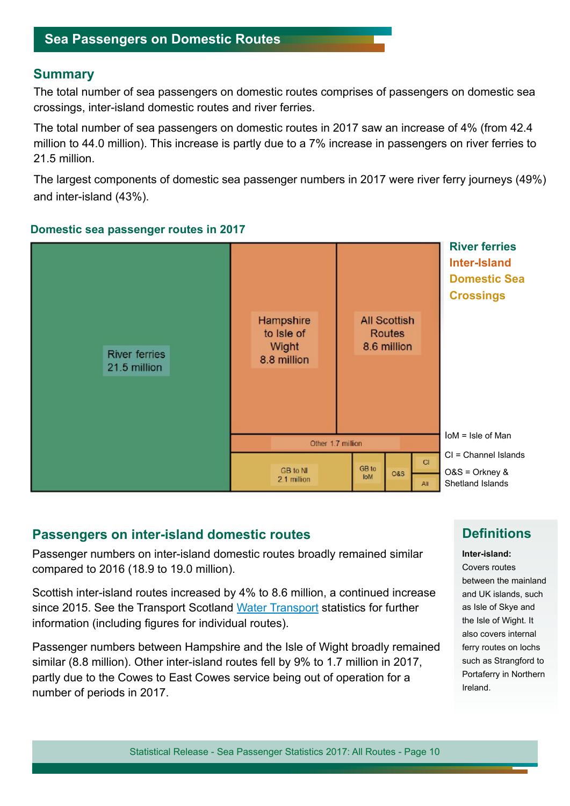#### **Sea Passengers on Domestic Routes**

#### **Summary**

The total number of sea passengers on domestic routes comprises of passengers on domestic sea crossings, inter-island domestic routes and river ferries.

The total number of sea passengers on domestic routes in 2017 saw an increase of 4% (from 42.4 million to 44.0 million). This increase is partly due to a 7% increase in passengers on river ferries to 21.5 million.

The largest components of domestic sea passenger numbers in 2017 were river ferry journeys (49%) and inter-island (43%).



#### **Domestic sea passenger routes in 2017**

#### **Passengers on inter-island domestic routes**

Passenger numbers on inter-island domestic routes broadly remained similar compared to 2016 (18.9 to 19.0 million).

Scottish inter-island routes increased by 4% to 8.6 million, a continued increase since 2015. See the Transport Scotland [Water Transport](https://www.transport.gov.scot/publication/scottish-transport-statistics-no-36-2017-edition/chapter-9-water-transport/) statistics for further information (including figures for individual routes).

Passenger numbers between Hampshire and the Isle of Wight broadly remained similar (8.8 million). Other inter-island routes fell by 9% to 1.7 million in 2017, partly due to the Cowes to East Cowes service being out of operation for a number of periods in 2017.

#### **Definitions**

**Inter-island:**

Covers routes between the mainland and UK islands, such as Isle of Skye and the Isle of Wight. It also covers internal ferry routes on lochs such as Strangford to Portaferry in Northern Ireland.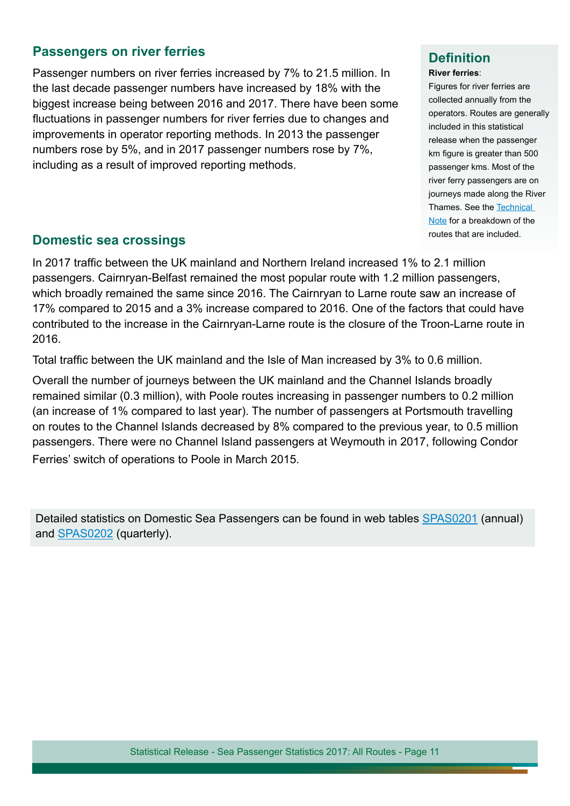#### **Passengers on river ferries**

Passenger numbers on river ferries increased by 7% to 21.5 million. In the last decade passenger numbers have increased by 18% with the biggest increase being between 2016 and 2017. There have been some fluctuations in passenger numbers for river ferries due to changes and improvements in operator reporting methods. In 2013 the passenger numbers rose by 5%, and in 2017 passenger numbers rose by 7%, including as a result of improved reporting methods.

### **Definition**

#### **River ferries**:

Figures for river ferries are collected annually from the operators. Routes are generally included in this statistical release when the passenger km figure is greater than 500 passenger kms. Most of the river ferry passengers are on journeys made along the River Thames. See the [Technical](https://assets.publishing.service.gov.uk/government/uploads/system/uploads/attachment_data/file/729971/sea-passenger-statistics-technical-note.pdf)  [Note](https://assets.publishing.service.gov.uk/government/uploads/system/uploads/attachment_data/file/729971/sea-passenger-statistics-technical-note.pdf) for a breakdown of the

## **Domestic sea crossings Domestic sea crossings**

In 2017 traffic between the UK mainland and Northern Ireland increased 1% to 2.1 million passengers. Cairnryan-Belfast remained the most popular route with 1.2 million passengers, which broadly remained the same since 2016. The Cairnryan to Larne route saw an increase of 17% compared to 2015 and a 3% increase compared to 2016. One of the factors that could have contributed to the increase in the Cairnryan-Larne route is the closure of the Troon-Larne route in 2016.

Total traffic between the UK mainland and the Isle of Man increased by 3% to 0.6 million.

Overall the number of journeys between the UK mainland and the Channel Islands broadly remained similar (0.3 million), with Poole routes increasing in passenger numbers to 0.2 million (an increase of 1% compared to last year). The number of passengers at Portsmouth travelling on routes to the Channel Islands decreased by 8% compared to the previous year, to 0.5 million passengers. There were no Channel Island passengers at Weymouth in 2017, following Condor Ferries' switch of operations to Poole in March 2015.

Detailed statistics on Domestic Sea Passengers can be found in web tables SPAS0201 (annual) and SPAS0202 (quarterly).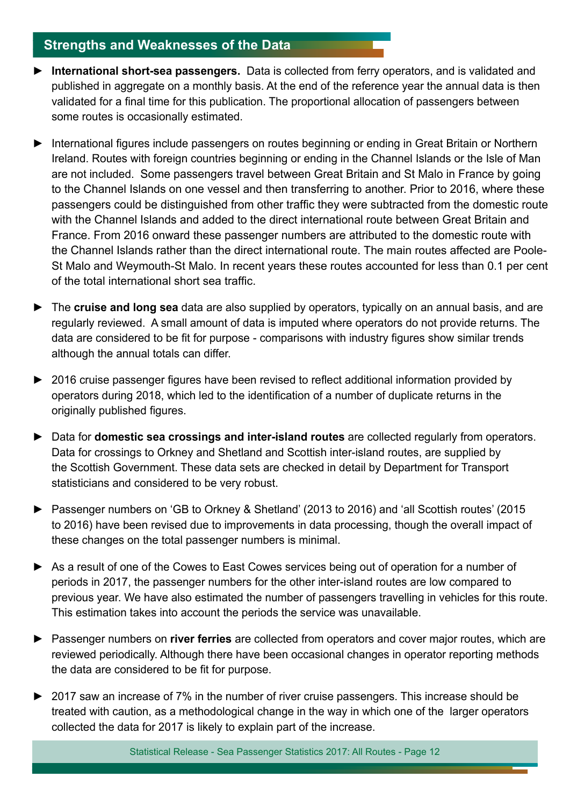### **Strengths and Weaknesses of the Data**

- ► **International short-sea passengers.** Data is collected from ferry operators, and is validated and published in aggregate on a monthly basis. At the end of the reference year the annual data is then validated for a final time for this publication. The proportional allocation of passengers between some routes is occasionally estimated.
- ► International figures include passengers on routes beginning or ending in Great Britain or Northern Ireland. Routes with foreign countries beginning or ending in the Channel Islands or the Isle of Man are not included. Some passengers travel between Great Britain and St Malo in France by going to the Channel Islands on one vessel and then transferring to another. Prior to 2016, where these passengers could be distinguished from other traffic they were subtracted from the domestic route with the Channel Islands and added to the direct international route between Great Britain and France. From 2016 onward these passenger numbers are attributed to the domestic route with the Channel Islands rather than the direct international route. The main routes affected are Poole-St Malo and Weymouth-St Malo. In recent years these routes accounted for less than 0.1 per cent of the total international short sea traffic.
- ► The **cruise and long sea** data are also supplied by operators, typically on an annual basis, and are regularly reviewed. A small amount of data is imputed where operators do not provide returns. The data are considered to be fit for purpose - comparisons with industry figures show similar trends although the annual totals can differ.
- ► 2016 cruise passenger figures have been revised to reflect additional information provided by operators during 2018, which led to the identification of a number of duplicate returns in the originally published figures.
- ► Data for **domestic sea crossings and inter-island routes** are collected regularly from operators. Data for crossings to Orkney and Shetland and Scottish inter-island routes, are supplied by the Scottish Government. These data sets are checked in detail by Department for Transport statisticians and considered to be very robust.
- ► Passenger numbers on 'GB to Orkney & Shetland' (2013 to 2016) and 'all Scottish routes' (2015 to 2016) have been revised due to improvements in data processing, though the overall impact of these changes on the total passenger numbers is minimal.
- ► As a result of one of the Cowes to East Cowes services being out of operation for a number of periods in 2017, the passenger numbers for the other inter-island routes are low compared to previous year. We have also estimated the number of passengers travelling in vehicles for this route. This estimation takes into account the periods the service was unavailable.
- ► Passenger numbers on **river ferries** are collected from operators and cover major routes, which are reviewed periodically. Although there have been occasional changes in operator reporting methods the data are considered to be fit for purpose.
- ► 2017 saw an increase of 7% in the number of river cruise passengers. This increase should be treated with caution, as a methodological change in the way in which one of the larger operators collected the data for 2017 is likely to explain part of the increase.